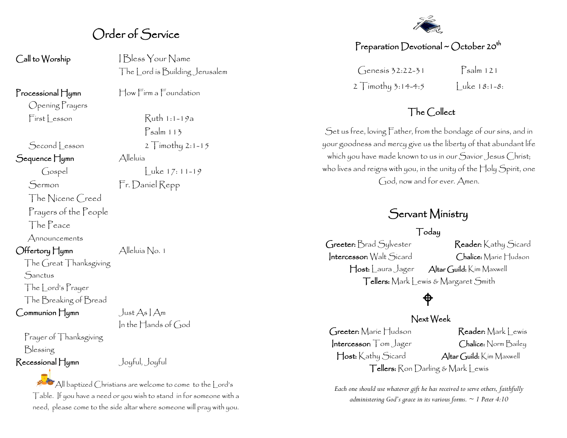## Order of Service

Opening Prayers

Sequence Hymn Alleluía

The Nicene Creed Prayers of the People

The Peace

Announcements

Offertory Hymn Alleluía No. 1

The Great Thanksgiving **Sanctus** The Lord's Prayer The Breaking of Bread

 $Common$ Hymn Just As  $\text{Aut }$ Am

Prayer of Thanksgiving Blessing

 $Call$  to Worship  $|B$ less Your Name The Lord is Building Jerusalem

Processional Hymn How Firm a Foundation

 $First|$  esson  $Ruth 1:1-19a$ Psalm 113 Second Lesson 2 Timothy 2:1-15 Gospel Luke 17: 11-19

Sermon Fr. Daniel Repp

In the Hands of God

Recessional Hymn Joyful, Joyful

All baptized Christians are welcome to come to the Lord's Table. If you have a need or you wish to stand in for someone with a need, please come to the side altar where someone will pray with you.



#### Preparation Devotional ~ October 20<sup>th</sup>

 $\int \text{genesis } 32:22-31$   $\text{Psalm } 121$ 2 Timothy 3:14-4:5 | uke  $18:1-8:$ 

#### The Collect

Set us free, loving Father, from the bondage of our sins, and in your goodness and mercy give us the liberty of that abundant life which you have made known to us in our Savior Jesus Christ; who lives and reigns with you, in the unity of the Holy Spirit, one God, now and for ever. Amen.

## Servant Ministry

#### Today

Greeter: Brad Sylvester Reader: Kathy Sicard Intercessor: Walt Sicard Chalice: Marie Hudson Host: Laura Jager Altar Guild: Kim Maxwell Tellers: Mark Lewis & Margaret Smith

## ♦

#### Next Week

Greeter: Marie Hudson Reader: Mark Lewis Intercessor: Tom Jager Chalice: Norm Bailey Host: Kathy Sicard Altar Guild: Kim Maxwell Tellers: Ron Darling & Mark Lewis

*Each one should use whatever gift he has received to serve others, faithfully administering God's grace in its various forms. ~ 1 Peter 4:10*